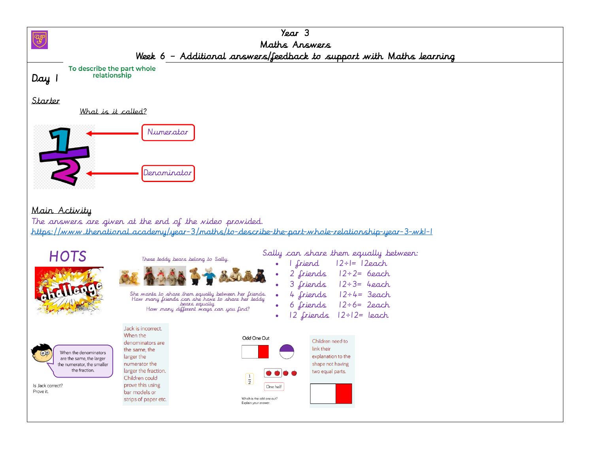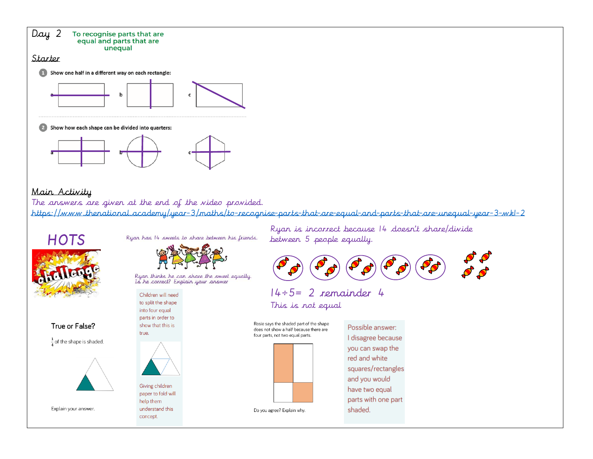

 $\hat{\mathcal{G}}$  $\frac{1}{2}$  $\frac{1}{\sqrt{2}}$  $\frac{1}{2}$ 

Ryan is incorrect because 14 doesn't share/divide between 5 people equally.



### 14÷5= 2 remainder 4 This is not equal

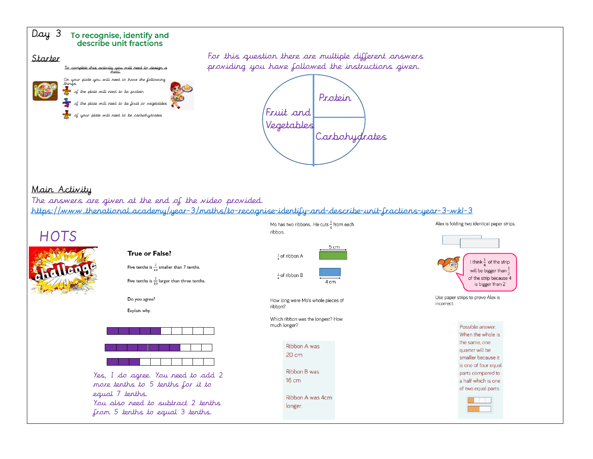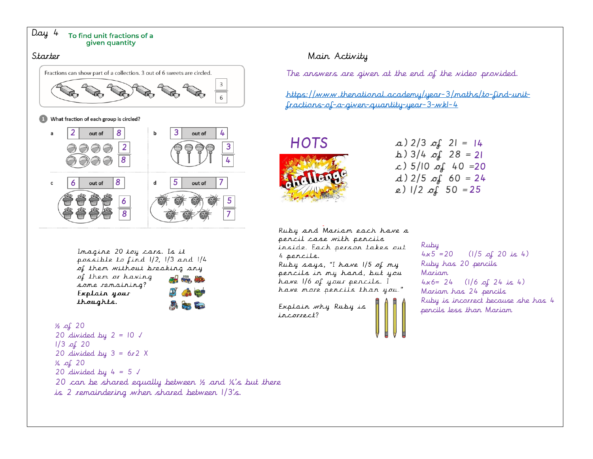

Inagine 20 toy cars. Is it possible to find  $1/2$ ,  $1/3$  and  $1/4$ of them without breaking any

of them or having some remaining? Explain your thoughts.

## $\frac{1}{2}$  of 20 20 divided by  $2 = 10 \sqrt{ }$

 $1/3$  of 20 20 divided by  $3 = 6r2$  X  $\frac{1}{4}$  of 20 20 divided by  $4 = 5 \sqrt{ }$ 20 can be shared equally between ½ and ¼'s but there is 2 remaindering when shared between 1/3's.

The answers are given at the end of the video provided.

[https://www.thenational.academy/year-3/maths/to-find-unit](https://www.thenational.academy/year-3/maths/to-find-unit-fractions-of-a-given-quantity-year-3-wk1-4)[fractions-of-a-given-quantity-year-3-wk1-4](https://www.thenational.academy/year-3/maths/to-find-unit-fractions-of-a-given-quantity-year-3-wk1-4)



a) 
$$
2/3
$$
 of  $21 = 14$   
\nb)  $3/4$  of  $28 = 21$   
\nc)  $5/10$  of  $40 = 20$   
\nd)  $2/5$  of  $60 = 24$   
\ne)  $1/2$  of  $50 = 25$ 

Ruby and Mariam each have a pencil case with pencils inside. Each person takes out 4 percils.

Ruby says, "I have 1/5 of my pencils in my hand, but you have 1/6 of your pencils. I have more pencils than you."

Explain why Ruby is incorrect?

### Ruby  $4x5 = 20$  (1/5 of 20 is 4) Ruby has 20 pencils Mariam  $4x6= 24$  (1/6 of 24 is 4) Mariam has 24 pencils Ruby is incorrect because she has 4 pencils less than Mariam